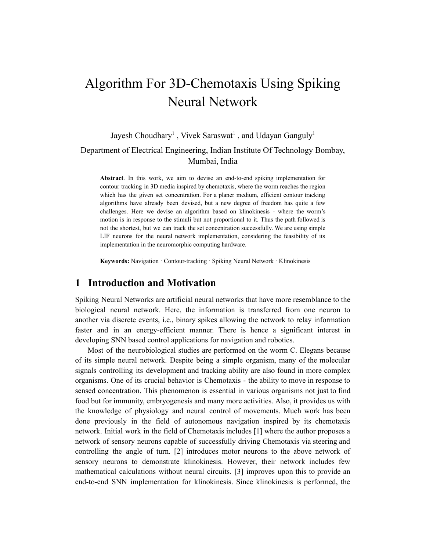# Algorithm For 3D-Chemotaxis Using Spiking Neural Network

# Jayesh Choudhary<sup>1</sup>, Vivek Saraswat<sup>1</sup>, and Udayan Ganguly<sup>1</sup> Department of Electrical Engineering, Indian Institute Of Technology Bombay, Mumbai, India

**Abstract**. In this work, we aim to devise an end-to-end spiking implementation for contour tracking in 3D media inspired by chemotaxis, where the worm reaches the region which has the given set concentration. For a planer medium, efficient contour tracking algorithms have already been devised, but a new degree of freedom has quite a few challenges. Here we devise an algorithm based on klinokinesis - where the worm's motion is in response to the stimuli but not proportional to it. Thus the path followed is not the shortest, but we can track the set concentration successfully. We are using simple LIF neurons for the neural network implementation, considering the feasibility of its implementation in the neuromorphic computing hardware.

**Keywords:** Navigation · Contour-tracking · Spiking Neural Network · Klinokinesis

#### **1 Introduction and Motivation**

Spiking Neural Networks are artificial neural networks that have more resemblance to the biological neural network. Here, the information is transferred from one neuron to another via discrete events, i.e., binary spikes allowing the network to relay information faster and in an energy-efficient manner. There is hence a significant interest in developing SNN based control applications for navigation and robotics.

Most of the neurobiological studies are performed on the worm C. Elegans because of its simple neural network. Despite being a simple organism, many of the molecular signals controlling its development and tracking ability are also found in more complex organisms. One of its crucial behavior is Chemotaxis - the ability to move in response to sensed concentration. This phenomenon is essential in various organisms not just to find food but for immunity, embryogenesis and many more activities. Also, it provides us with the knowledge of physiology and neural control of movements. Much work has been done previously in the field of autonomous navigation inspired by its chemotaxis network. Initial work in the field of Chemotaxis includes [1] where the author proposes a network of sensory neurons capable of successfully driving Chemotaxis via steering and controlling the angle of turn. [2] introduces motor neurons to the above network of sensory neurons to demonstrate klinokinesis. However, their network includes few mathematical calculations without neural circuits. [3] improves upon this to provide an end-to-end SNN implementation for klinokinesis. Since klinokinesis is performed, the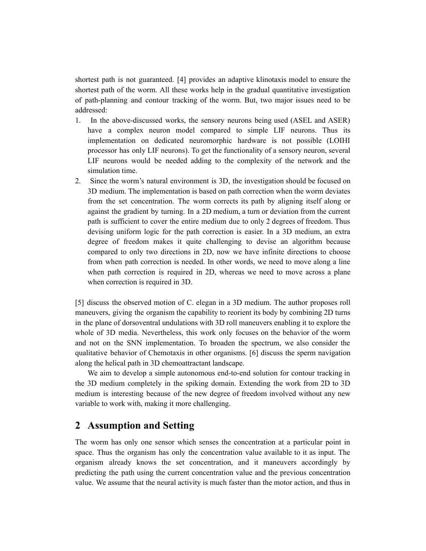shortest path is not guaranteed. [4] provides an adaptive klinotaxis model to ensure the shortest path of the worm. All these works help in the gradual quantitative investigation of path-planning and contour tracking of the worm. But, two major issues need to be addressed:

- 1. In the above-discussed works, the sensory neurons being used (ASEL and ASER) have a complex neuron model compared to simple LIF neurons. Thus its implementation on dedicated neuromorphic hardware is not possible (LOIHI processor has only LIF neurons). To get the functionality of a sensory neuron, several LIF neurons would be needed adding to the complexity of the network and the simulation time.
- 2. Since the worm's natural environment is 3D, the investigation should be focused on 3D medium. The implementation is based on path correction when the worm deviates from the set concentration. The worm corrects its path by aligning itself along or against the gradient by turning. In a 2D medium, a turn or deviation from the current path is sufficient to cover the entire medium due to only 2 degrees of freedom. Thus devising uniform logic for the path correction is easier. In a 3D medium, an extra degree of freedom makes it quite challenging to devise an algorithm because compared to only two directions in 2D, now we have infinite directions to choose from when path correction is needed. In other words, we need to move along a line when path correction is required in 2D, whereas we need to move across a plane when correction is required in 3D.

[5] discuss the observed motion of C. elegan in a 3D medium. The author proposes roll maneuvers, giving the organism the capability to reorient its body by combining 2D turns in the plane of dorsoventral undulations with 3D roll maneuvers enabling it to explore the whole of 3D media. Nevertheless, this work only focuses on the behavior of the worm and not on the SNN implementation. To broaden the spectrum, we also consider the qualitative behavior of Chemotaxis in other organisms. [6] discuss the sperm navigation along the helical path in 3D chemoattractant landscape.

We aim to develop a simple autonomous end-to-end solution for contour tracking in the 3D medium completely in the spiking domain. Extending the work from 2D to 3D medium is interesting because of the new degree of freedom involved without any new variable to work with, making it more challenging.

## **2 Assumption and Setting**

The worm has only one sensor which senses the concentration at a particular point in space. Thus the organism has only the concentration value available to it as input. The organism already knows the set concentration, and it maneuvers accordingly by predicting the path using the current concentration value and the previous concentration value. We assume that the neural activity is much faster than the motor action, and thus in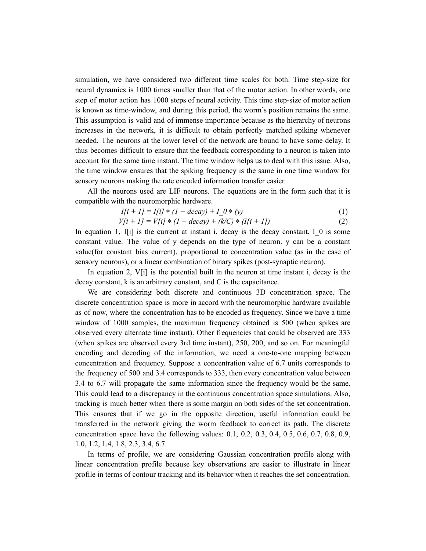simulation, we have considered two different time scales for both. Time step-size for neural dynamics is 1000 times smaller than that of the motor action. In other words, one step of motor action has 1000 steps of neural activity. This time step-size of motor action is known as time-window, and during this period, the worm's position remains the same. This assumption is valid and of immense importance because as the hierarchy of neurons increases in the network, it is difficult to obtain perfectly matched spiking whenever needed. The neurons at the lower level of the network are bound to have some delay. It thus becomes difficult to ensure that the feedback corresponding to a neuron is taken into account for the same time instant. The time window helps us to deal with this issue. Also, the time window ensures that the spiking frequency is the same in one time window for sensory neurons making the rate encoded information transfer easier.

All the neurons used are LIF neurons. The equations are in the form such that it is compatible with the neuromorphic hardware.

$$
I[i + 1] = I[i] * (1 - decay) + I_0 * (y)
$$
\n(1)

$$
V[i + 1] = V[i] * (1 - decay) + (k/C) * (I[i + 1])
$$
\n(2)

In equation 1, I[i] is the current at instant i, decay is the decay constant, I 0 is some constant value. The value of y depends on the type of neuron. y can be a constant value(for constant bias current), proportional to concentration value (as in the case of sensory neurons), or a linear combination of binary spikes (post-synaptic neuron).

In equation 2,  $V[i]$  is the potential built in the neuron at time instant i, decay is the decay constant, k is an arbitrary constant, and C is the capacitance.

We are considering both discrete and continuous 3D concentration space. The discrete concentration space is more in accord with the neuromorphic hardware available as of now, where the concentration has to be encoded as frequency. Since we have a time window of 1000 samples, the maximum frequency obtained is 500 (when spikes are observed every alternate time instant). Other frequencies that could be observed are 333 (when spikes are observed every 3rd time instant), 250, 200, and so on. For meaningful encoding and decoding of the information, we need a one-to-one mapping between concentration and frequency. Suppose a concentration value of 6.7 units corresponds to the frequency of 500 and 3.4 corresponds to 333, then every concentration value between 3.4 to 6.7 will propagate the same information since the frequency would be the same. This could lead to a discrepancy in the continuous concentration space simulations. Also, tracking is much better when there is some margin on both sides of the set concentration. This ensures that if we go in the opposite direction, useful information could be transferred in the network giving the worm feedback to correct its path. The discrete concentration space have the following values: 0.1, 0.2, 0.3, 0.4, 0.5, 0.6, 0.7, 0.8, 0.9, 1.0, 1.2, 1.4, 1.8, 2.3, 3.4, 6.7.

In terms of profile, we are considering Gaussian concentration profile along with linear concentration profile because key observations are easier to illustrate in linear profile in terms of contour tracking and its behavior when it reaches the set concentration.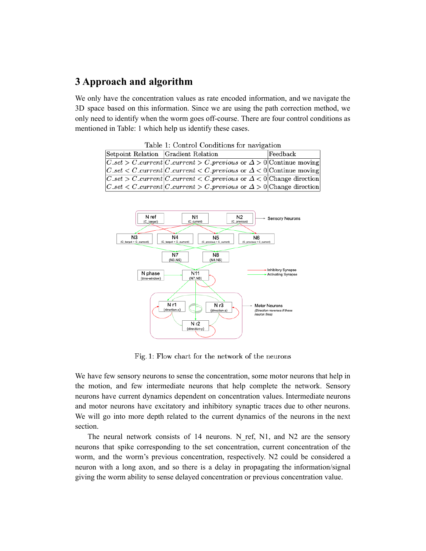## **3 Approach and algorithm**

We only have the concentration values as rate encoded information, and we navigate the 3D space based on this information. Since we are using the path correction method, we only need to identify when the worm goes off-course. There are four control conditions as mentioned in Table: 1 which help us identify these cases.

Table 1: Control Conditions for navigation

| Setpoint Relation Gradient Relation |                                                                                                                                                                                                                                                                                                                                                                            | $\rm [Feedback]$ |  |  |  |  |  |
|-------------------------------------|----------------------------------------------------------------------------------------------------------------------------------------------------------------------------------------------------------------------------------------------------------------------------------------------------------------------------------------------------------------------------|------------------|--|--|--|--|--|
|                                     | $ C_{\mathcal{A}}(C_{\mathcal{A}}(C_{\mathcal{A}})) $ contracted $ C_{\mathcal{A}}(C_{\mathcal{A}}) $ contracted $\Delta > 0$ Continue moving                                                                                                                                                                                                                              |                  |  |  |  |  |  |
|                                     | $ C_{\mathcal{A}}(C_{\mathcal{A}}(C_{\mathcal{A}})) $ contractly contract $ C_{\mathcal{A}}(C_{\mathcal{A}}) $ contractly contractly contractly controlled by $\Delta$                                                                                                                                                                                                     |                  |  |  |  |  |  |
|                                     | $ C_{\mathcal{A}}(C_{\mathcal{A}}(C_{\mathcal{A}})) $ = $ C_{\mathcal{A}}(C_{\mathcal{A}}(C_{\mathcal{A}})) $ = $ C_{\mathcal{A}}(C_{\mathcal{A}}) $ = $ C_{\mathcal{A}}(C_{\mathcal{A}}) $ = $ C_{\mathcal{A}}(C_{\mathcal{A}}) $ = $ C_{\mathcal{A}}(C_{\mathcal{A}}) $ = $ C_{\mathcal{A}}(C_{\mathcal{A}}) $ = $ C_{\mathcal{A}}(C_{\mathcal{A}}) $ = $ C_{\mathcal{A$ |                  |  |  |  |  |  |
|                                     | $ C_{\mathcal{A}}(C_{\mathcal{A}}(C_{\mathcal{A}})) $ contracted $ C_{\mathcal{A}}(C_{\mathcal{A}}) $ contracted $ C_{\mathcal{A}}(C_{\mathcal{A}}) $ contracted $ C_{\mathcal{A}}(C_{\mathcal{A}}) $                                                                                                                                                                      |                  |  |  |  |  |  |



Fig. 1: Flow chart for the network of the neurons

We have few sensory neurons to sense the concentration, some motor neurons that help in the motion, and few intermediate neurons that help complete the network. Sensory neurons have current dynamics dependent on concentration values. Intermediate neurons and motor neurons have excitatory and inhibitory synaptic traces due to other neurons. We will go into more depth related to the current dynamics of the neurons in the next section.

The neural network consists of 14 neurons. N\_ref, N1, and N2 are the sensory neurons that spike corresponding to the set concentration, current concentration of the worm, and the worm's previous concentration, respectively. N2 could be considered a neuron with a long axon, and so there is a delay in propagating the information/signal giving the worm ability to sense delayed concentration or previous concentration value.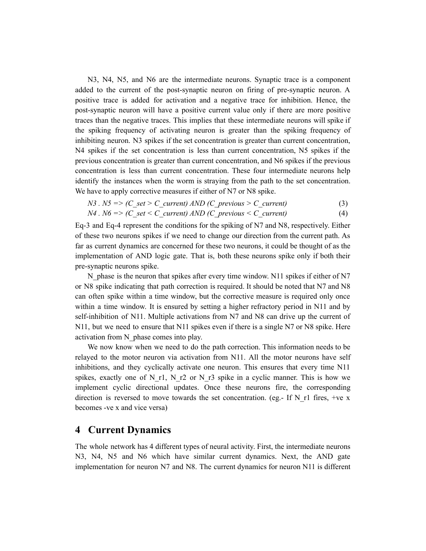N3, N4, N5, and N6 are the intermediate neurons. Synaptic trace is a component added to the current of the post-synaptic neuron on firing of pre-synaptic neuron. A positive trace is added for activation and a negative trace for inhibition. Hence, the post-synaptic neuron will have a positive current value only if there are more positive traces than the negative traces. This implies that these intermediate neurons will spike if the spiking frequency of activating neuron is greater than the spiking frequency of inhibiting neuron. N3 spikes if the set concentration is greater than current concentration, N4 spikes if the set concentration is less than current concentration, N5 spikes if the previous concentration is greater than current concentration, and N6 spikes if the previous concentration is less than current concentration. These four intermediate neurons help identify the instances when the worm is straying from the path to the set concentration. We have to apply corrective measures if either of N7 or N8 spike.

$$
N3. N5 \Rightarrow (C\_set > C\_current) \, AND \, (C\_previous > C\_current) \tag{3}
$$

$$
N4. N6 \Longrightarrow (C\_set < C\_current) \; AND \; (C\_previous < C\_current) \tag{4}
$$

Eq-3 and Eq-4 represent the conditions for the spiking of N7 and N8, respectively. Either of these two neurons spikes if we need to change our direction from the current path. As far as current dynamics are concerned for these two neurons, it could be thought of as the implementation of AND logic gate. That is, both these neurons spike only if both their pre-synaptic neurons spike.

N phase is the neuron that spikes after every time window. N11 spikes if either of N7 or N8 spike indicating that path correction is required. It should be noted that N7 and N8 can often spike within a time window, but the corrective measure is required only once within a time window. It is ensured by setting a higher refractory period in N11 and by self-inhibition of N11. Multiple activations from N7 and N8 can drive up the current of N11, but we need to ensure that N11 spikes even if there is a single N7 or N8 spike. Here activation from N\_phase comes into play.

We now know when we need to do the path correction. This information needs to be relayed to the motor neuron via activation from N11. All the motor neurons have self inhibitions, and they cyclically activate one neuron. This ensures that every time N11 spikes, exactly one of N\_r1, N\_r2 or N\_r3 spike in a cyclic manner. This is how we implement cyclic directional updates. Once these neurons fire, the corresponding direction is reversed to move towards the set concentration. (eg.- If N\_r1 fires, +ve x becomes -ve x and vice versa)

## **4 Current Dynamics**

The whole network has 4 different types of neural activity. First, the intermediate neurons N3, N4, N5 and N6 which have similar current dynamics. Next, the AND gate implementation for neuron N7 and N8. The current dynamics for neuron N11 is different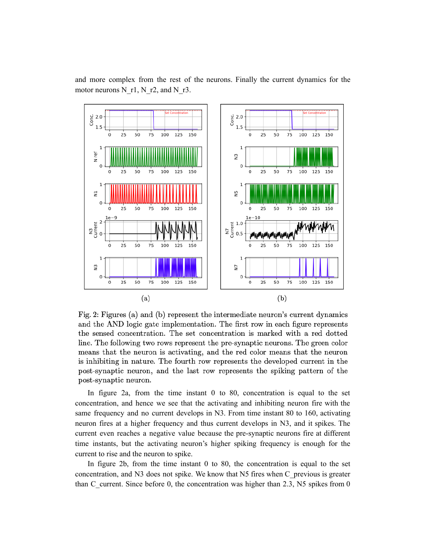

and more complex from the rest of the neurons. Finally the current dynamics for the motor neurons N\_r1, N\_r2, and N\_r3.

Fig. 2: Figures (a) and (b) represent the intermediate neuron's current dynamics and the AND logic gate implementation. The first row in each figure represents the sensed concentration. The set concentration is marked with a red dotted line. The following two rows represent the pre-synaptic neurons. The green color means that the neuron is activating, and the red color means that the neuron is inhibiting in nature. The fourth row represents the developed current in the post-synaptic neuron, and the last row represents the spiking pattern of the post-synaptic neuron.

In figure 2a, from the time instant 0 to 80, concentration is equal to the set concentration, and hence we see that the activating and inhibiting neuron fire with the same frequency and no current develops in N3. From time instant 80 to 160, activating neuron fires at a higher frequency and thus current develops in N3, and it spikes. The current even reaches a negative value because the pre-synaptic neurons fire at different time instants, but the activating neuron's higher spiking frequency is enough for the current to rise and the neuron to spike.

In figure 2b, from the time instant 0 to 80, the concentration is equal to the set concentration, and N3 does not spike. We know that N5 fires when C\_previous is greater than C current. Since before 0, the concentration was higher than 2.3, N5 spikes from 0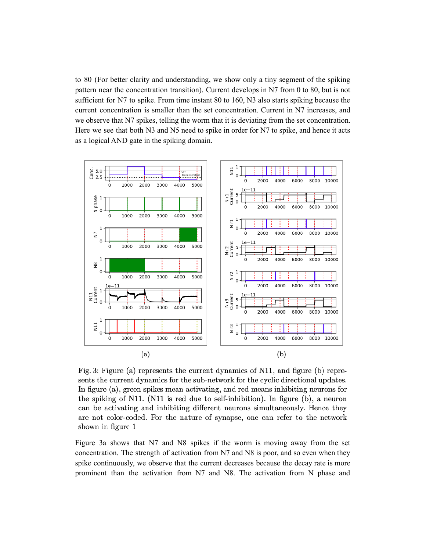to 80 (For better clarity and understanding, we show only a tiny segment of the spiking pattern near the concentration transition). Current develops in N7 from 0 to 80, but is not sufficient for N7 to spike. From time instant 80 to 160, N3 also starts spiking because the current concentration is smaller than the set concentration. Current in N7 increases, and we observe that N7 spikes, telling the worm that it is deviating from the set concentration. Here we see that both N3 and N5 need to spike in order for N7 to spike, and hence it acts as a logical AND gate in the spiking domain.



Fig. 3: Figure (a) represents the current dynamics of N11, and figure (b) represents the current dynamics for the sub-network for the cyclic directional updates. In figure  $(a)$ , green spikes mean activating, and red means inhibiting neurons for the spiking of N11. (N11 is red due to self-inhibition). In figure  $(b)$ , a neuron can be activating and inhibiting different neurons simultaneously. Hence they are not color-coded. For the nature of synapse, one can refer to the network shown in figure 1

Figure 3a shows that N7 and N8 spikes if the worm is moving away from the set concentration. The strength of activation from N7 and N8 is poor, and so even when they spike continuously, we observe that the current decreases because the decay rate is more prominent than the activation from N7 and N8. The activation from N phase and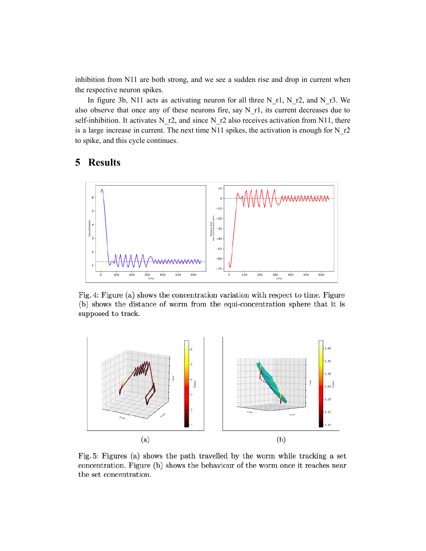inhibition from N11 are both strong, and we see a sudden rise and drop in current when the respective neuron spikes.

In figure 3b, N11 acts as activating neuron for all three N\_r1, N\_r2, and N\_r3. We also observe that once any of these neurons fire, say N\_r1, its current decreases due to self-inhibition. It activates N\_r2, and since N\_r2 also receives activation from N11, there is a large increase in current. The next time N11 spikes, the activation is enough for N\_r2 to spike, and this cycle continues.

## **5 Results**



Fig. 4: Figure (a) shows the concentration variation with respect to time. Figure (b) shows the distance of worm from the equi-concentration sphere that it is supposed to track.



Fig. 5: Figures (a) shows the path travelled by the worm while tracking a set concentration. Figure (b) shows the behaviour of the worm once it reaches near the set concentration.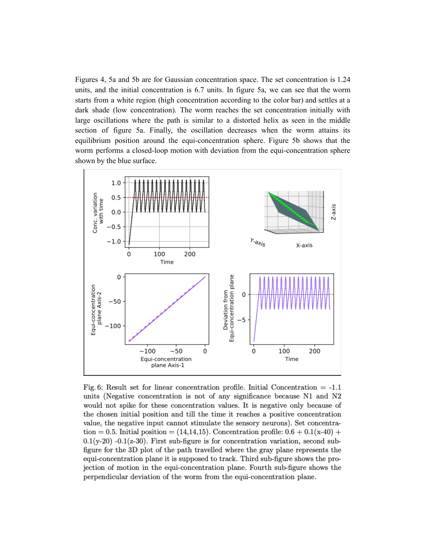Figures 4, 5a and 5b are for Gaussian concentration space. The set concentration is 1.24 units, and the initial concentration is 6.7 units. In figure 5a, we can see that the worm starts from a white region (high concentration according to the color bar) and settles at a dark shade (low concentration). The worm reaches the set concentration initially with large oscillations where the path is similar to a distorted helix as seen in the middle section of figure 5a. Finally, the oscillation decreases when the worm attains its equilibrium position around the equi-concentration sphere. Figure 5b shows that the worm performs a closed-loop motion with deviation from the equi-concentration sphere shown by the blue surface.



Fig. 6: Result set for linear concentration profile. Initial Concentration  $= -1.1$ units (Negative concentration is not of any significance because N1 and N2 would not spike for these concentration values. It is negative only because of the chosen initial position and till the time it reaches a positive concentration value, the negative input cannot stimulate the sensory neurons). Set concentration = 0.5. Initial position =  $(14,14,15)$ . Concentration profile: 0.6 + 0.1(x-40) +  $0.1(y-20)$  -0.1(z-30). First sub-figure is for concentration variation, second subfigure for the 3D plot of the path travelled where the gray plane represents the equi-concentration plane it is supposed to track. Third sub-figure shows the projection of motion in the equi-concentration plane. Fourth sub-figure shows the perpendicular deviation of the worm from the equi-concentration plane.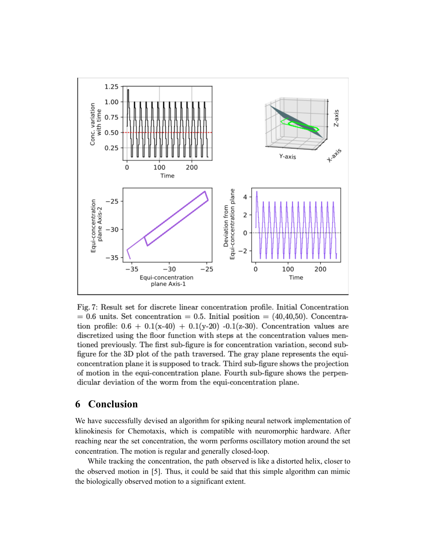

Fig. 7: Result set for discrete linear concentration profile. Initial Concentration  $= 0.6$  units. Set concentration  $= 0.5$ . Initial position  $= (40, 40, 50)$ . Concentration profile:  $0.6 + 0.1(x-40) + 0.1(y-20) -0.1(z-30)$ . Concentration values are discretized using the floor function with steps at the concentration values mentioned previously. The first sub-figure is for concentration variation, second subfigure for the 3D plot of the path traversed. The gray plane represents the equiconcentration plane it is supposed to track. Third sub-figure shows the projection of motion in the equi-concentration plane. Fourth sub-figure shows the perpendicular deviation of the worm from the equi-concentration plane.

## **6 Conclusion**

We have successfully devised an algorithm for spiking neural network implementation of klinokinesis for Chemotaxis, which is compatible with neuromorphic hardware. After reaching near the set concentration, the worm performs oscillatory motion around the set concentration. The motion is regular and generally closed-loop.

While tracking the concentration, the path observed is like a distorted helix, closer to the observed motion in [5]. Thus, it could be said that this simple algorithm can mimic the biologically observed motion to a significant extent.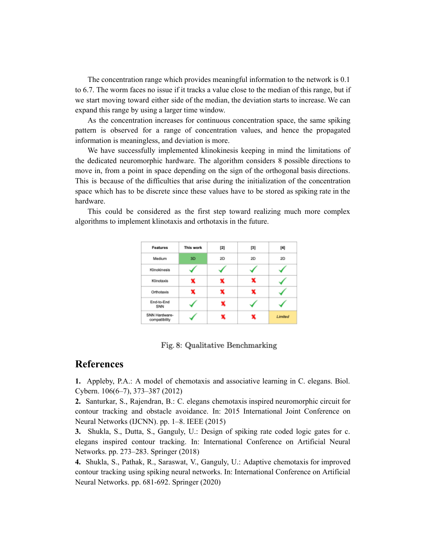The concentration range which provides meaningful information to the network is 0.1 to 6.7. The worm faces no issue if it tracks a value close to the median of this range, but if we start moving toward either side of the median, the deviation starts to increase. We can expand this range by using a larger time window.

As the concentration increases for continuous concentration space, the same spiking pattern is observed for a range of concentration values, and hence the propagated information is meaningless, and deviation is more.

We have successfully implemented klinokinesis keeping in mind the limitations of the dedicated neuromorphic hardware. The algorithm considers 8 possible directions to move in, from a point in space depending on the sign of the orthogonal basis directions. This is because of the difficulties that arise during the initialization of the concentration space which has to be discrete since these values have to be stored as spiking rate in the hardware.

| Features                       | This work | $[2]$ | $[3]$ | [4]     |
|--------------------------------|-----------|-------|-------|---------|
| Medium                         | 3D        | 2D    | 2D    | 2D      |
| Klinokinesis                   |           |       |       |         |
| Klinotaxis                     |           |       |       |         |
| Orthotaxis                     |           | x     | x     |         |
| End-to-End<br>SNN              |           |       |       |         |
| SNN Hardware-<br>compatibility |           |       |       | Limited |
|                                |           |       |       |         |

This could be considered as the first step toward realizing much more complex algorithms to implement klinotaxis and orthotaxis in the future.

Fig. 8: Qualitative Benchmarking

#### **References**

**1.** Appleby, P.A.: A model of chemotaxis and associative learning in C. elegans. Biol. Cybern. 106(6–7), 373–387 (2012)

**2.** Santurkar, S., Rajendran, B.: C. elegans chemotaxis inspired neuromorphic circuit for contour tracking and obstacle avoidance. In: 2015 International Joint Conference on Neural Networks (IJCNN). pp. 1–8. IEEE (2015)

**3.** Shukla, S., Dutta, S., Ganguly, U.: Design of spiking rate coded logic gates for c. elegans inspired contour tracking. In: International Conference on Artificial Neural Networks. pp. 273–283. Springer (2018)

**4.** Shukla, S., Pathak, R., Saraswat, V., Ganguly, U.: Adaptive chemotaxis for improved contour tracking using spiking neural networks. In: International Conference on Artificial Neural Networks. pp. 681-692. Springer (2020)